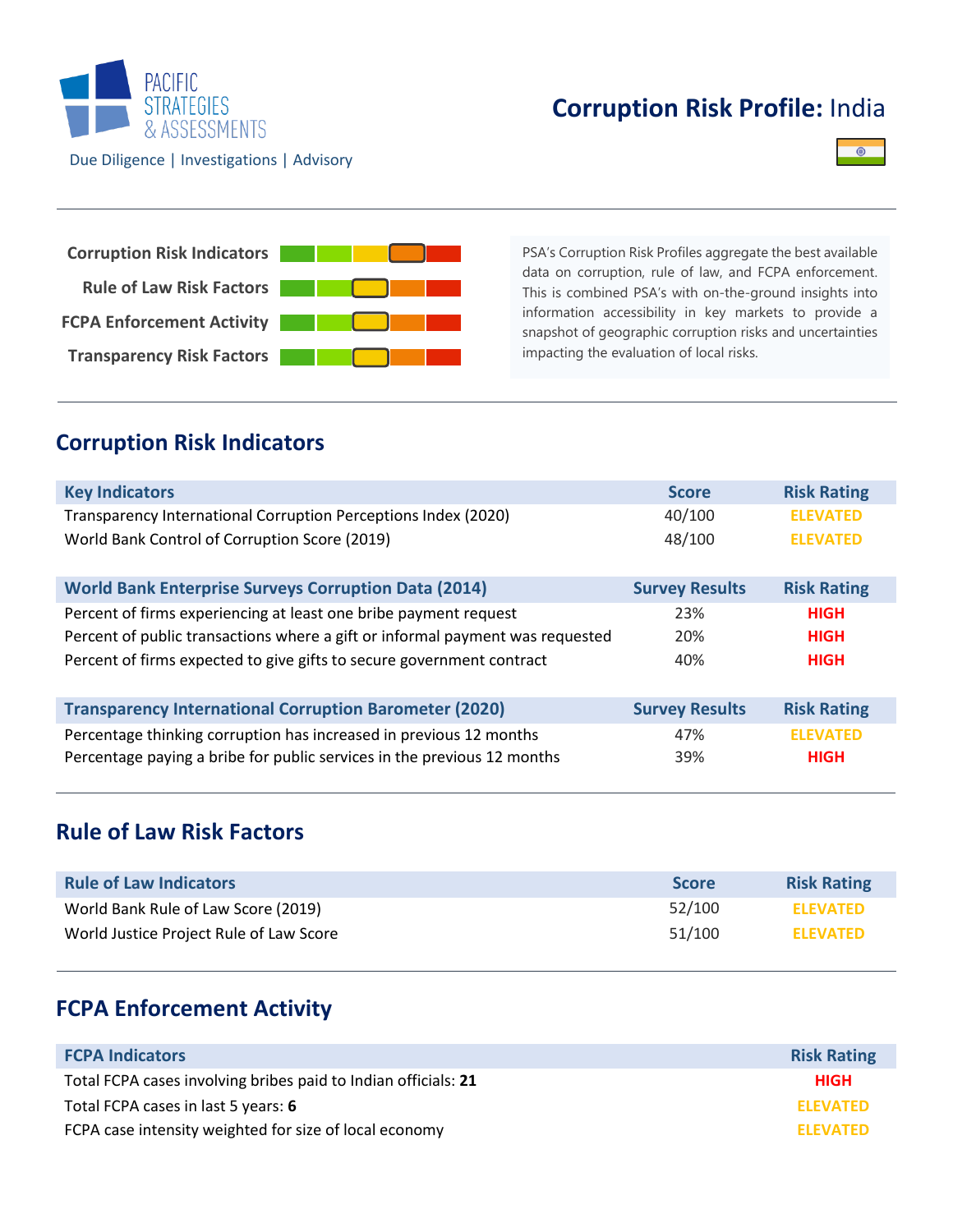

# **Corruption Risk Profile:** India





PSA's Corruption Risk Profiles aggregate the best available data on corruption, rule of law, and FCPA enforcement. This is combined PSA's with on-the-ground insights into information accessibility in key markets to provide a snapshot of geographic corruption risks and uncertainties impacting the evaluation of local risks.

### **Corruption Risk Indicators**

| <b>Key Indicators</b>                                                         | <b>Score</b>          | <b>Risk Rating</b> |
|-------------------------------------------------------------------------------|-----------------------|--------------------|
| Transparency International Corruption Perceptions Index (2020)                | 40/100                | <b>ELEVATED</b>    |
| World Bank Control of Corruption Score (2019)                                 | 48/100                | <b>ELEVATED</b>    |
| <b>World Bank Enterprise Surveys Corruption Data (2014)</b>                   | <b>Survey Results</b> | <b>Risk Rating</b> |
| Percent of firms experiencing at least one bribe payment request              | 23%                   | <b>HIGH</b>        |
| Percent of public transactions where a gift or informal payment was requested | 20%                   | <b>HIGH</b>        |
| Percent of firms expected to give gifts to secure government contract         | 40%                   | <b>HIGH</b>        |
| <b>Transparency International Corruption Barometer (2020)</b>                 | <b>Survey Results</b> | <b>Risk Rating</b> |
| Percentage thinking corruption has increased in previous 12 months            | 47%                   | <b>ELEVATED</b>    |
| Percentage paying a bribe for public services in the previous 12 months       | 39%                   | <b>HIGH</b>        |

### **Rule of Law Risk Factors**

| <b>Rule of Law Indicators</b>           | <b>Score</b> | <b>Risk Rating</b> |
|-----------------------------------------|--------------|--------------------|
| World Bank Rule of Law Score (2019)     | 52/100       | <b>ELEVATED</b>    |
| World Justice Project Rule of Law Score | 51/100       | <b>ELEVATED</b>    |

## **FCPA Enforcement Activity**

| <b>FCPA Indicators</b>                                         | <b>Risk Rating</b> |
|----------------------------------------------------------------|--------------------|
| Total FCPA cases involving bribes paid to Indian officials: 21 | <b>HIGH</b>        |
| Total FCPA cases in last 5 years: 6                            | <b>ELEVATED</b>    |
| FCPA case intensity weighted for size of local economy         | <b>ELEVATED</b>    |